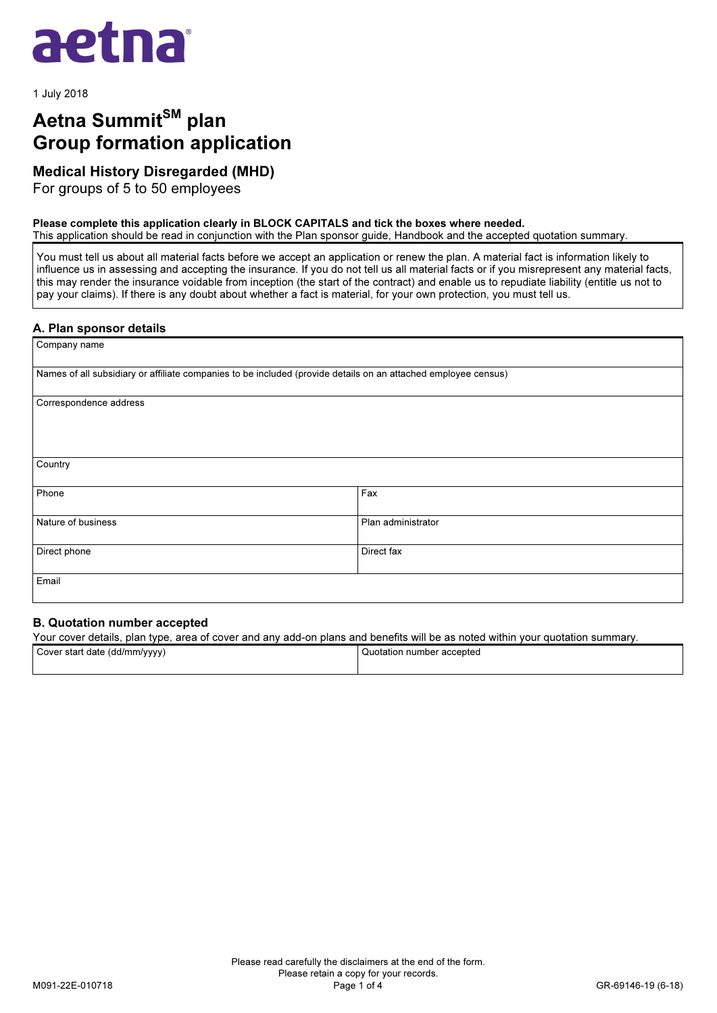

1 July 2018

# Aetna Summit<sup>SM</sup> plan Group formation application

# Medical History Disregarded (MHD)

For groups of 5 to 50 employees

### Please complete this application clearly in BLOCK CAPITALS and tick the boxes where needed.

This application should be read in conjunction with the Plan sponsor guide, Handbook and the accepted quotation summary.

You must tell us about all material facts before we accept an application or renew the plan. A material fact is information likely to influence us in assessing and accepting the insurance. If you do not tell us all material facts or if you misrepresent any material facts, this may render the insurance voidable from inception (the start of the contract) and enable us to repudiate liability (entitle us not to pay your claims). If there is any doubt about whether a fact is material, for your own protection, you must tell us.

## A. Plan sponsor details

| Company name                                                                                                   |                    |
|----------------------------------------------------------------------------------------------------------------|--------------------|
| Names of all subsidiary or affiliate companies to be included (provide details on an attached employee census) |                    |
| Correspondence address                                                                                         |                    |
| Country                                                                                                        |                    |
| Phone                                                                                                          | Fax                |
| Nature of business                                                                                             | Plan administrator |
| Direct phone                                                                                                   | Direct fax         |
| Email                                                                                                          |                    |

# B. Quotation number accepted

Your cover details, plan type, area of cover and any add-on plans and benefits will be as noted within your quotation summary.

| Cover start date (dd/mm/yyyy) | I Quotation number accepted |
|-------------------------------|-----------------------------|
|                               |                             |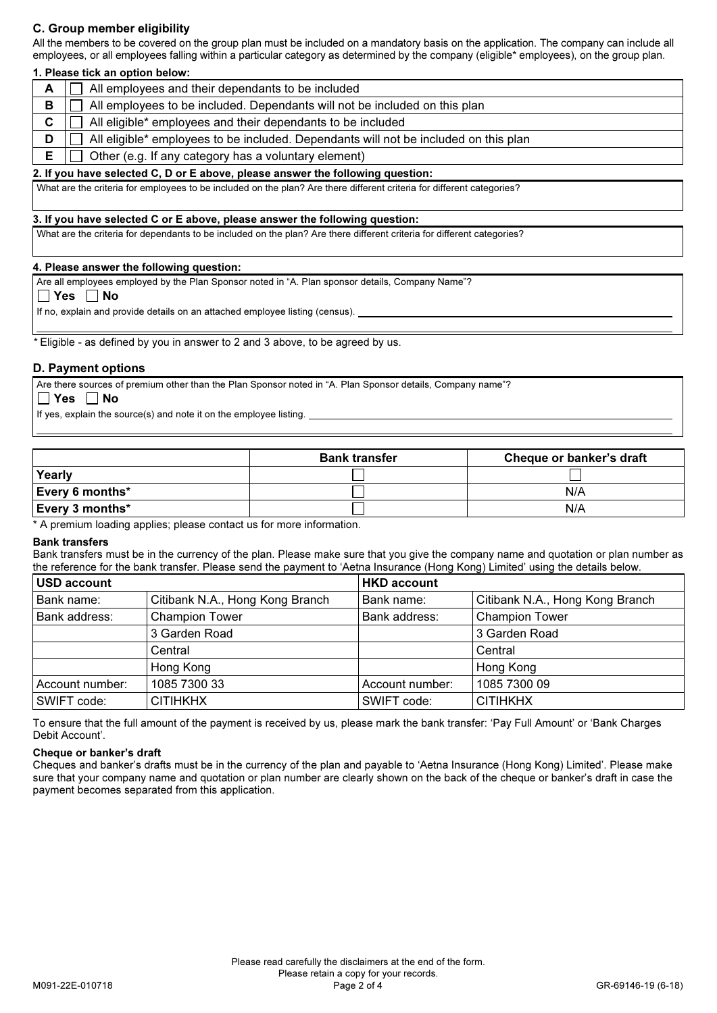# C. Group member eligibility

All the members to be covered on the group plan must be included on a mandatory basis on the application. The company can include all employees, or all employees falling within a particular category as determined by the company (eligible\* employees), on the group plan.

## 1. Please tick an option below:

|   | All employees and their dependants to be included                                    |
|---|--------------------------------------------------------------------------------------|
| в | All employees to be included. Dependants will not be included on this plan           |
|   | All eligible* employees and their dependants to be included                          |
| D | All eligible* employees to be included. Dependants will not be included on this plan |
|   | Other (e.g. If any category has a voluntary element)                                 |

#### 2. If you have selected C, D or E above, please answer the following question:

What are the criteria for employees to be included on the plan? Are there different criteria for different categories?

#### 3. If you have selected C or E above, please answer the following question:

What are the criteria for dependants to be included on the plan? Are there different criteria for different categories?

### 4. Please answer the following question:

Are all employees employed by the Plan Sponsor noted in "A. Plan sponsor details, Company Name"?

## $\Box$  Yes  $\Box$  No

 $\overline{\phantom{a}}$  $\mathbf{L}$ 

 $\overline{a}$ 

If no, explain and provide details on an attached employee listing (census).

Eligible - as defined by you in answer to 2 and 3 above, to be agreed by us.

## D. Payment options

Are there sources of premium other than the Plan Sponsor noted in "A. Plan Sponsor details, Company name"?

#### $\Box$  Yes  $\Box$  No

If yes, explain the source(s) and note it on the employee listing.

|                        | <b>Bank transfer</b> | Cheque or banker's draft |
|------------------------|----------------------|--------------------------|
| Yearly                 |                      |                          |
| <b>Every 6 months*</b> |                      | N/A                      |
| <b>Every 3 months*</b> |                      | N/A                      |

\* A premium loading applies; please contact us for more information.

#### Bank transfers

Bank transfers must be in the currency of the plan. Please make sure that you give the company name and quotation or plan number as the reference for the bank transfer. Please send the payment to 'Aetna Insurance (Hong Kong) Limited' using the details below.

| USD account     |                                 | <b>HKD account</b> |                                 |
|-----------------|---------------------------------|--------------------|---------------------------------|
| Bank name:      | Citibank N.A., Hong Kong Branch | Bank name:         | Citibank N.A., Hong Kong Branch |
| Bank address:   | <b>Champion Tower</b>           | Bank address:      | <b>Champion Tower</b>           |
|                 | 3 Garden Road                   |                    | 3 Garden Road                   |
|                 | Central                         |                    | Central                         |
|                 | Hong Kong                       |                    | Hong Kong                       |
| Account number: | 1085 7300 33                    | Account number:    | 1085 7300 09                    |
| SWIFT code:     | <b>CITIHKHX</b>                 | SWIFT code:        | <b>CITIHKHX</b>                 |

To ensure that the full amount of the payment is received by us, please mark the bank transfer: 'Pay Full Amount' or 'Bank Charges Debit Account'.

#### Cheque or banker's draft

Cheques and banker's drafts must be in the currency of the plan and payable to 'Aetna Insurance (Hong Kong) Limited'. Please make sure that your company name and quotation or plan number are clearly shown on the back of the cheque or banker's draft in case the payment becomes separated from this application.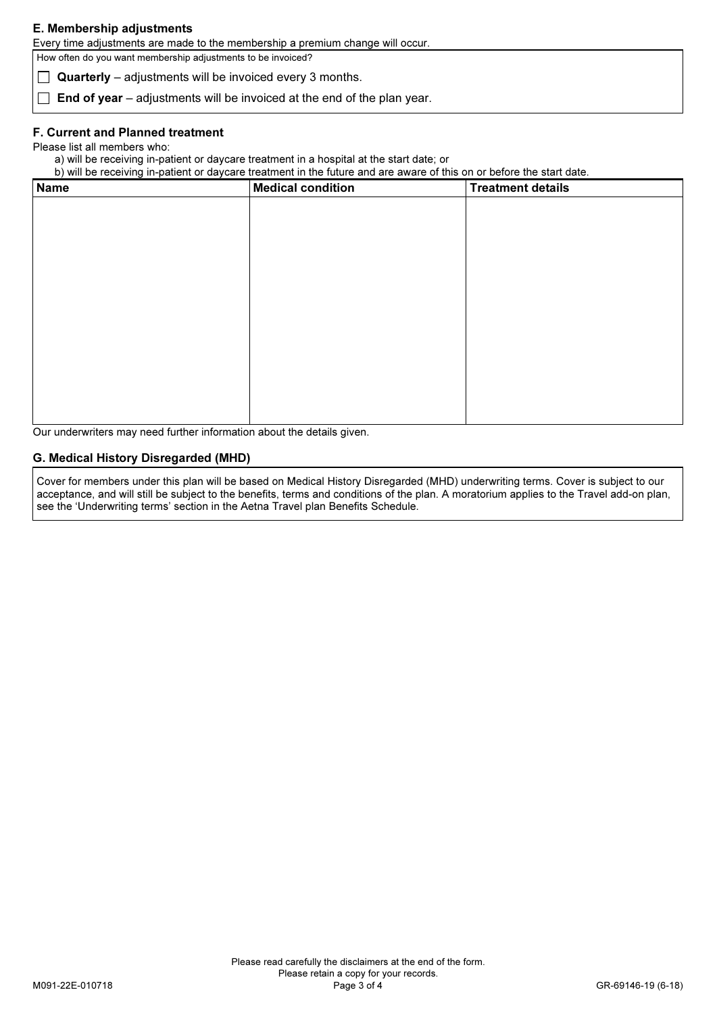# E. Membership adjustments

Every time adjustments are made to the membership a premium change will occur.

How often do you want membership adjustments to be invoiced?

Quarterly – adjustments will be invoiced every 3 months.

 $\Box$  End of year – adjustments will be invoiced at the end of the plan year.

## F. Current and Planned treatment

Please list all members who:

a) will be receiving in-patient or daycare treatment in a hospital at the start date; or

b) will be receiving in-patient or daycare treatment in the future and are aware of this on or before the start date.

| <b>Name</b> | <b>Medical condition</b> | <b>Treatment details</b> |
|-------------|--------------------------|--------------------------|
|             |                          |                          |
|             |                          |                          |
|             |                          |                          |
|             |                          |                          |
|             |                          |                          |
|             |                          |                          |
|             |                          |                          |
|             |                          |                          |
|             |                          |                          |
|             |                          |                          |
|             |                          |                          |
|             |                          |                          |
|             |                          |                          |

Our underwriters may need further information about the details given.

# G. Medical History Disregarded (MHD)

Cover for members under this plan will be based on Medical History Disregarded (MHD) underwriting terms. Cover is subject to our acceptance, and will still be subject to the benefits, terms and conditions of the plan. A moratorium applies to the Travel add-on plan, see the 'Underwriting terms' section in the Aetna Travel plan Benefits Schedule.